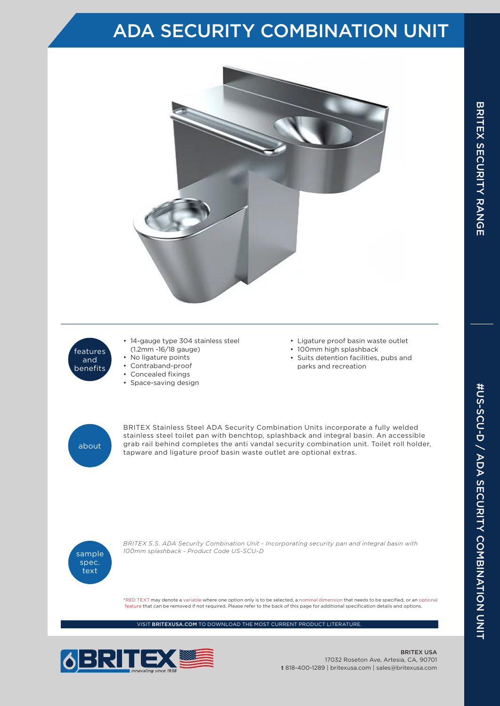## ADA SECURITY COMBINATION UNIT



- features and benefits
- 14-gauge type 304 stainless steel (1.2mm -16/18 gauge)
- No ligature points
- Contraband-proof
- Concealed fixings
- Space-saving design
- Ligature proof basin waste outlet
- 100mm high splashback
- Suits detention facilities, pubs and parks and recreation



BRITEX Stainless Steel ADA Security Combination Units incorporate a fully welded stainless steel toilet pan with benchtop, splashback and integral basin. An accessible grab rail behind completes the anti vandal security combination unit. Toilet roll holder, tapware and ligature proof basin waste outlet are optional extras.



*BRITEX S.S. ADA Security Combination Unit - Incorporating security pan and integral basin with 100mm splashback - Product Code US-SCU-D*

\*RED TEXT may denote a variable where one option only is to be selected, a nominal dimension that needs to be specified, or an optional feature that can be removed if not required. Please refer to the back of this page for additional specification details and options.

VISIT BRITEXUSA.COM TO DOWNLOAD THE MOST CURRENT PRODUCT LITERATURE